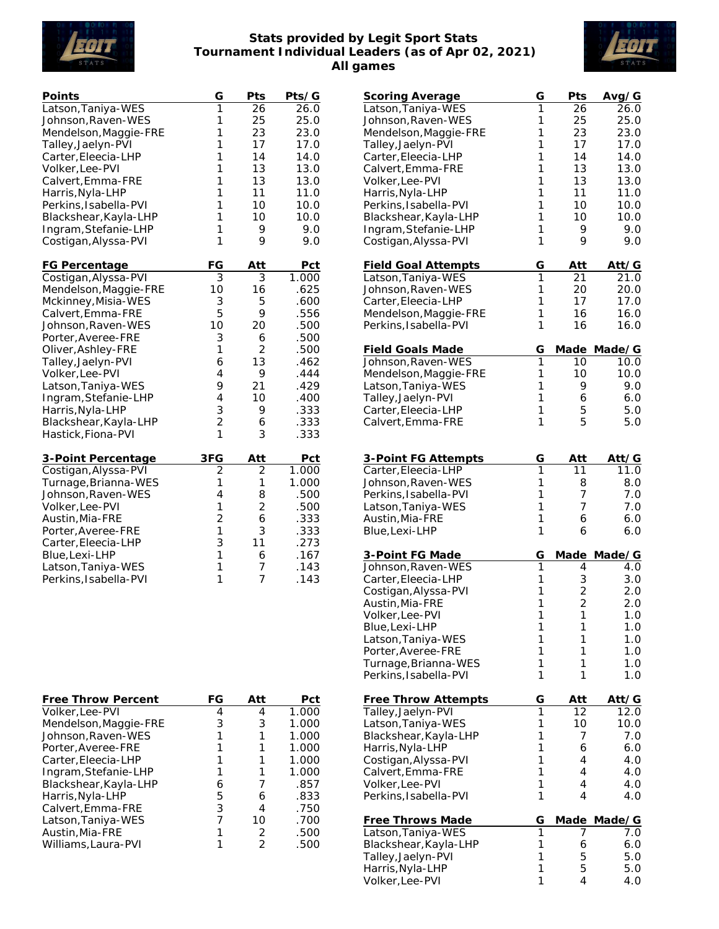

## **Stats provided by Legit Sport Stats Tournament Individual Leaders (as of Apr 02, 2021) All games**



| Points                | G              | Pts             | Pts/G |
|-----------------------|----------------|-----------------|-------|
| Latson, Taniya-WES    | 1              | $\overline{2}6$ | 26.0  |
| Johnson, Raven-WES    | 1              | 25              | 25.0  |
| Mendelson, Maggie-FRE | $\mathbf{1}$   | 23              | 23.0  |
| Talley, Jaelyn-PVI    | 1              | 17              | 17.0  |
| Carter, Eleecia-LHP   | 1              | 14              | 14.0  |
| Volker, Lee-PVI       | 1              | 13              | 13.0  |
| Calvert, Emma-FRE     | 1              | 13              | 13.0  |
| Harris, Nyla-LHP      | 1              | 11              | 11.0  |
| Perkins, Isabella-PVI | 1              | 10              | 10.0  |
| Blackshear, Kayla-LHP | $\mathbf{1}$   | 10              | 10.0  |
| Ingram, Stefanie-LHP  | 1              | 9               | 9.0   |
| Costigan, Alyssa-PVI  | 1              | 9               | 9.0   |
| FG Percentage         | FG             | <u>Att</u>      | Pct   |
| Costigan, Alyssa-PVI  | $\overline{3}$ | 3               | 1.000 |
| Mendelson, Maggie-FRE | 10             | 16              | .625  |
| Mckinney, Misia-WES   | 3              | 5               | .600  |
| Calvert, Emma-FRE     | 5              | 9               | .556  |
| Johnson, Raven-WES    | 10             | 20              | .500  |
| Porter, Averee-FRE    | 3              | 6               | .500  |
| Oliver, Ashley-FRE    | 1              | $\overline{2}$  | .500  |
| Talley, Jaelyn-PVI    | 6              | 13              | .462  |
| Volker, Lee-PVI       | $\overline{4}$ | 9               | .444  |
| Latson, Taniya-WES    | 9              | 21              | .429  |
| Ingram, Stefanie-LHP  | $\overline{4}$ | 10              | .400  |
| Harris, Nyla-LHP      | 3              | 9               | .333  |
| Blackshear, Kayla-LHP | $\overline{2}$ | 6               | .333  |
| Hastick, Fiona-PVI    | $\mathbf{1}$   | 3               | .333  |
| 3-Point Percentage    | 3FG            | Att             | Pct   |
| Costigan, Alyssa-PVI  | $\overline{2}$ | $\overline{2}$  | 1.000 |
| Turnage, Brianna-WES  | $\mathbf{1}$   | 1               | 1.000 |
| Johnson, Raven-WES    | 4              | 8               | .500  |
| Volker, Lee-PVI       | $\mathbf{1}$   | $\overline{2}$  | .500  |
| Austin, Mia-FRE       | $\overline{c}$ | 6               | .333  |
| Porter, Averee-FRE    | 1              | 3               | .333  |
| Carter, Eleecia-LHP   | 3              | 11              | .273  |
| Blue, Lexi-LHP        | $\mathbf{1}$   | 6               | .167  |
| Latson, Taniya-WES    | 1              | 7               | .143  |
| Perkins, Isabella-PVI | 1              | $\overline{7}$  | .143  |
|                       |                |                 |       |

| Free Throw Percent    | FG | Att | Pct   |
|-----------------------|----|-----|-------|
| Volker, Lee-PVI       |    | 4   | 1.000 |
| Mendelson, Maggie-FRE |    | 3   | 1.000 |
| Johnson, Raven-WES    |    |     | 1.000 |
| Porter, Averee-FRE    |    |     | 1.000 |
| Carter, Eleecia-LHP   |    |     | 1.000 |
| Ingram, Stefanie-LHP  |    |     | 1.000 |
| Blackshear, Kayla-LHP | 6  |     | .857  |
| Harris, Nyla-LHP      | 5  |     | .833  |
| Calvert, Emma-FRE     | 3  |     | .750  |
| Latson, Taniya-WES    |    | 10  | .700  |
| Austin, Mia-FRE       |    | 2   | .500  |
| Williams, Laura-PVI   |    |     | .500  |
|                       |    |     |       |

|                            | G |                |              |
|----------------------------|---|----------------|--------------|
| <u>Scoring Average</u>     |   | Pts            | Avg/G        |
| Latson, Taniya-WES         | 1 | 26             | 26.0         |
| Johnson, Raven-WES         | 1 | 25             | 25.0         |
| Mendelson, Maggie-FRE      | 1 | 23             | 23.0         |
| Talley, Jaelyn-PVI         | 1 | 17             | 17.0         |
| Carter, Eleecia-LHP        | 1 | 14             | 14.0         |
|                            |   |                |              |
| Calvert, Emma-FRE          | 1 | 13             | 13.0         |
| Volker, Lee-PVI            | 1 | 13             | 13.0         |
| Harris, Nyla-LHP           | 1 | 11             | 11.0         |
| Perkins, Isabella-PVI      | 1 | 10             | 10.0         |
|                            | 1 |                |              |
| Blackshear, Kayla-LHP      |   | 10             | 10.0         |
| Ingram, Stefanie-LHP       | 1 | 9              | 9.0          |
| Costigan, Alyssa-PVI       | 1 | 9              | 9.0          |
|                            |   |                |              |
| <b>Field Goal Attempts</b> | G | Att            | <u>Att/G</u> |
|                            | 1 | 21             |              |
| Latson, Taniya-WES         |   |                | 21.0         |
| Johnson, Raven-WES         | 1 | 20             | 20.0         |
| Carter, Eleecia-LHP        | 1 | 17             | 17.0         |
| Mendelson, Maggie-FRE      | 1 | 16             | 16.0         |
| Perkins, Isabella-PVI      | 1 | 16             | 16.0         |
|                            |   |                |              |
|                            |   |                |              |
| <b>Field Goals Made</b>    | G | Made           | Made/G       |
| Johnson, Raven-WES         | 1 | 10             | 10.0         |
| Mendelson, Maggie-FRE      | 1 | 10             | 10.0         |
| Latson, Taniya-WES         | 1 | 9              | 9.0          |
|                            | 1 |                |              |
| Talley, Jaelyn-PVI         |   | 6              | 6.0          |
| Carter, Eleecia-LHP        | 1 | 5              | 5.0          |
| Calvert, Emma-FRE          | 1 | 5              | 5.0          |
|                            |   |                |              |
|                            |   |                |              |
| 3-Point FG Attempts        | G | Att            | Att⁄G        |
|                            | 1 | 11             | 11.0         |
| Carter, Eleecia-LHP        |   |                |              |
| Johnson, Raven-WES         | 1 | 8              | 8.0          |
| Perkins, Isabella-PVI      | 1 | 7              | 7.0          |
| Latson, Taniya-WES         | 1 | 7              | 7.0          |
| Austin, Mia-FRE            | 1 | 6              | 6.0          |
|                            | 1 | 6              | 6.0          |
| Blue, Lexi-LHP             |   |                |              |
|                            |   |                |              |
| 3-Point FG Made            | G | Made           | Made/G       |
| Johnson, Raven-WES         | 1 | 4              | 4.0          |
| Carter, Eleecia-LHP        | 1 |                | 3.0          |
| Costigan, Alyssa-PVI       | 1 | 3<br>2         | 2.0          |
| Austin, Mia-FRE            | 1 | $\overline{c}$ | 2.0          |
|                            |   |                |              |
| Volker, Lee-PVI            | 1 | 1              | 1.0          |
| Blue, Lexi-LHP             | 1 | 1              | 1.0          |
| Latson, Taniya-WES         | 1 | 1              | 1.0          |
| Porter, Averee-FRE         | 1 | 1              | 1.0          |
|                            | 1 | 1              | 1.0          |
| Turnage, Brianna-WES       | 1 |                |              |
| Perkins, Isabella-PVI      |   | 1              | 1.0          |
|                            |   |                |              |
| <b>Free Throw Attempts</b> | G | Att            | Att⁄G        |
| Talley, Jaelyn-PVI         | 1 | 12             | 12.0         |
| Latson, Taniya-WES         | 1 | 10             | 10.0         |
| Blackshear, Kayla-LHP      | 1 | 7              | 7.0          |
|                            |   |                |              |
| Harris, Nyla-LHP           | 1 | 6              | 6.0          |
| Costigan, Alyssa-PVI       | 1 | 4              | 4.0          |
| Calvert, Emma-FRE          | 1 | 4              | 4.0          |
| Volker, Lee-PVI            | 1 | 4              | 4.0          |
| Perkins, Isabella-PVI      | 1 | 4              | 4.0          |
|                            |   |                |              |
|                            |   |                |              |
| <b>Free Throws Made</b>    | G | Made           | Made/G       |
| Latson, Taniya-WES         | 1 | 7              | 7.0          |
| Blackshear, Kayla-LHP      | 1 | 6              | 6.0          |
| Talley, Jaelyn-PVI         | 1 | 5              | 5.0          |
| Harris, Nyla-LHP           | 1 | 5              | 5.0          |
| Volker, Lee-PVI            | 1 | 4              | 4.0          |
|                            |   |                |              |